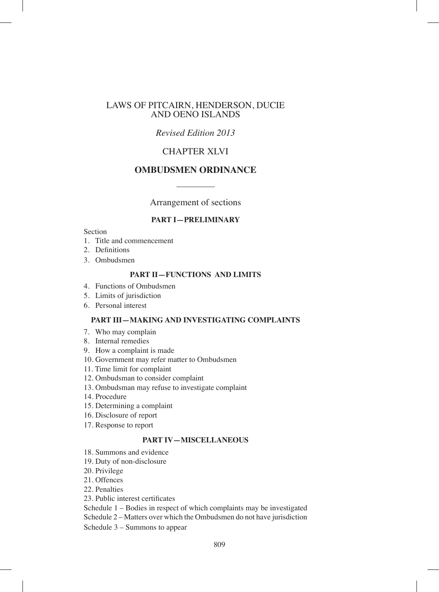### LAWS OF PITCAIRN, HENDERSON, DUCIE AND OENO ISLANDS

## *Revised Edition 2013*

## CHAPTER XLVI

## **OMBUDSMEN ORDINANCE**

Arrangement of sections

### **PART I—PRELIMINARY**

#### Section

- 1. Title and commencement
- 2. Definitions
- 3. Ombudsmen

### **PART II—FUNCTIONS AND LIMITS**

- 4. Functions of Ombudsmen
- 5. Limits of jurisdiction
- 6. Personal interest

#### **PART III—MAKING AND INVESTIGATING COMPLAINTS**

- 7. Who may complain
- 8. Internal remedies
- 9. How a complaint is made
- 10. Government may refer matter to Ombudsmen
- 11. Time limit for complaint
- 12. Ombudsman to consider complaint
- 13. Ombudsman may refuse to investigate complaint
- 14. Procedure
- 15. Determining a complaint
- 16. Disclosure of report
- 17. Response to report

### **PART IV—MISCELLANEOUS**

- 18. Summons and evidence
- 19. Duty of non-disclosure
- 20. Privilege
- 21. Offences
- 22. Penalties
- 23. Public interest certificates

Schedule 1 – Bodies in respect of which complaints may be investigated

Schedule 2 – Matters over which the Ombudsmen do not have jurisdiction

Schedule 3 – Summons to appear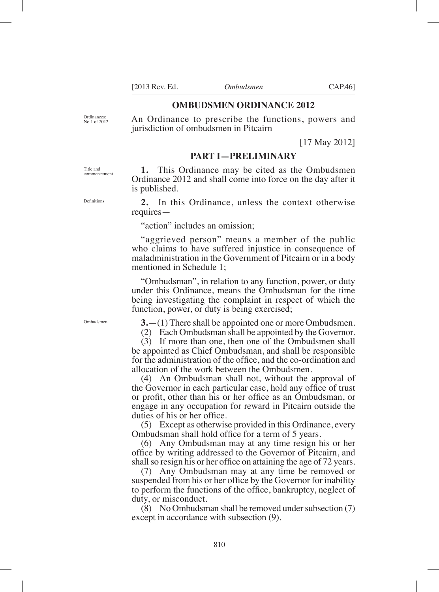**3.**—(1) There shall be appointed one or more Ombudsmen.

(2) Each Ombudsman shall be appointed by the Governor.

(3) If more than one, then one of the Ombudsmen shall be appointed as Chief Ombudsman, and shall be responsible for the administration of the office, and the co-ordination and allocation of the work between the Ombudsmen.

(4) An Ombudsman shall not, without the approval of the Governor in each particular case, hold any office of trust or profit, other than his or her office as an Ombudsman, or engage in any occupation for reward in Pitcairn outside the duties of his or her office.

(5) Except as otherwise provided in this Ordinance, every Ombudsman shall hold office for a term of 5 years.

(6) Any Ombudsman may at any time resign his or her office by writing addressed to the Governor of Pitcairn, and shall so resign his or her office on attaining the age of 72 years.

(7) Any Ombudsman may at any time be removed or suspended from his or her office by the Governor for inability to perform the functions of the office, bankruptcy, neglect of duty, or misconduct.

(8) No Ombudsman shall be removed under subsection (7) except in accordance with subsection (9).

810

Title and commencement

Definitions

No.1 of 2012

**1.** This Ordinance may be cited as the Ombudsmen Ordinance 2012 and shall come into force on the day after it is published.

**PART I—PRELIMINARY**

**2.** In this Ordinance, unless the context otherwise requires—

"action" includes an omission;

jurisdiction of ombudsmen in Pitcairn

"aggrieved person" means a member of the public who claims to have suffered injustice in consequence of maladministration in the Government of Pitcairn or in a body mentioned in Schedule 1;

"Ombudsman", in relation to any function, power, or duty under this Ordinance, means the Ombudsman for the time being investigating the complaint in respect of which the function, power, or duty is being exercised;

Ombudsmen

[17 May 2012]

**OMBUDSMEN ORDINANCE 2012** An Ordinance to prescribe the functions, powers and

Ordinances: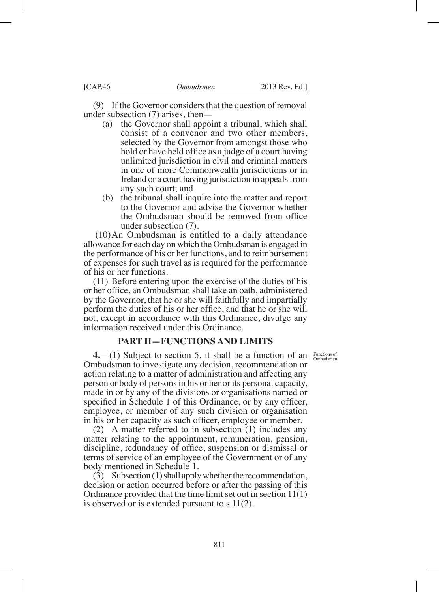(9) If the Governor considers that the question of removal under subsection (7) arises, then—<br>(a) the Governor shall appo

- the Governor shall appoint a tribunal, which shall consist of a convenor and two other members, selected by the Governor from amongst those who hold or have held office as a judge of a court having unlimited jurisdiction in civil and criminal matters in one of more Commonwealth jurisdictions or in Ireland or a court having jurisdiction in appeals from any such court; and
- (b) the tribunal shall inquire into the matter and report to the Governor and advise the Governor whether the Ombudsman should be removed from office under subsection (7).

 (10)An Ombudsman is entitled to a daily attendance allowance for each day on which the Ombudsman is engaged in the performance of his or her functions, and to reimbursement of expenses for such travel as is required for the performance of his or her functions.

(11) Before entering upon the exercise of the duties of his or her office, an Ombudsman shall take an oath, administered by the Governor, that he or she will faithfully and impartially perform the duties of his or her office, and that he or she will not, except in accordance with this Ordinance, divulge any information received under this Ordinance.

## **PART II—FUNCTIONS AND LIMITS**

Functions of Ombudsmen

**4.**—(1) Subject to section 5, it shall be a function of an Ombudsman to investigate any decision, recommendation or action relating to a matter of administration and affecting any person or body of persons in his or her or its personal capacity, made in or by any of the divisions or organisations named or specified in Schedule 1 of this Ordinance, or by any officer, employee, or member of any such division or organisation in his or her capacity as such officer, employee or member.

(2) A matter referred to in subsection (1) includes any matter relating to the appointment, remuneration, pension, discipline, redundancy of office, suspension or dismissal or terms of service of an employee of the Government or of any body mentioned in Schedule 1.

(3) Subsection (1) shall apply whether the recommendation, decision or action occurred before or after the passing of this Ordinance provided that the time limit set out in section 11(1) is observed or is extended pursuant to s 11(2).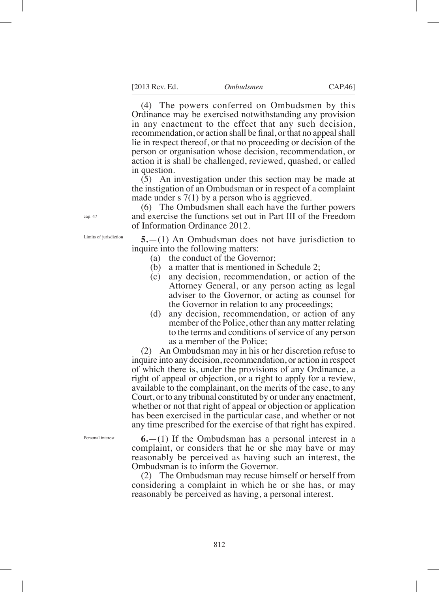(4) The powers conferred on Ombudsmen by this Ordinance may be exercised notwithstanding any provision in any enactment to the effect that any such decision, recommendation, or action shall be final, or that no appeal shall lie in respect thereof, or that no proceeding or decision of the person or organisation whose decision, recommendation, or action it is shall be challenged, reviewed, quashed, or called in question.

(5) An investigation under this section may be made at the instigation of an Ombudsman or in respect of a complaint made under s 7(1) by a person who is aggrieved.

(6) The Ombudsmen shall each have the further powers and exercise the functions set out in Part III of the Freedom of Information Ordinance 2012.

**5.**—(1) An Ombudsman does not have jurisdiction to inquire into the following matters:

- (a) the conduct of the Governor;
- (b) a matter that is mentioned in Schedule 2;
- (c) any decision, recommendation, or action of the Attorney General, or any person acting as legal adviser to the Governor, or acting as counsel for the Governor in relation to any proceedings;
- (d) any decision, recommendation, or action of any member of the Police, other than any matter relating to the terms and conditions of service of any person as a member of the Police;

(2) An Ombudsman may in his or her discretion refuse to inquire into any decision, recommendation, or action in respect of which there is, under the provisions of any Ordinance, a right of appeal or objection, or a right to apply for a review, available to the complainant, on the merits of the case, to any Court, or to any tribunal constituted by or under any enactment, whether or not that right of appeal or objection or application has been exercised in the particular case, and whether or not any time prescribed for the exercise of that right has expired.

Personal interest

**6.**—(1) If the Ombudsman has a personal interest in a complaint, or considers that he or she may have or may reasonably be perceived as having such an interest, the Ombudsman is to inform the Governor.

(2) The Ombudsman may recuse himself or herself from considering a complaint in which he or she has, or may reasonably be perceived as having, a personal interest.

cap. 47

Limits of jurisdiction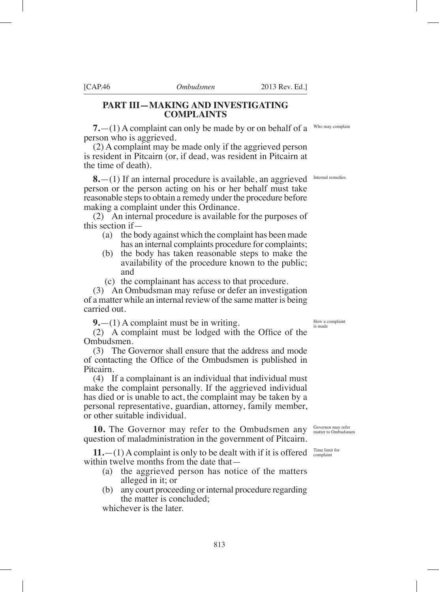### **PART III—MAKING AND INVESTIGATING COMPLAINTS**

**7.**—(1) A complaint can only be made by or on behalf of a person who is aggrieved.

(2) A complaint may be made only if the aggrieved person is resident in Pitcairn (or, if dead, was resident in Pitcairn at the time of death).

**8.** - (1) If an internal procedure is available, an aggrieved Internal remedies person or the person acting on his or her behalf must take reasonable steps to obtain a remedy under the procedure before making a complaint under this Ordinance.

(2) An internal procedure is available for the purposes of this section if—

- (a) the body against which the complaint has been made has an internal complaints procedure for complaints;
- (b) the body has taken reasonable steps to make the availability of the procedure known to the public; and
- (c) the complainant has access to that procedure.

(3) An Ombudsman may refuse or defer an investigation of a matter while an internal review of the same matter is being carried out.

**9.**—(1) A complaint must be in writing.

 $(2)$  A complaint must be lodged with the Office of the Ombudsmen.

(3) The Governor shall ensure that the address and mode of contacting the Office of the Ombudsmen is published in Pitcairn.

(4) If a complainant is an individual that individual must make the complaint personally. If the aggrieved individual has died or is unable to act, the complaint may be taken by a personal representative, guardian, attorney, family member, or other suitable individual.

**10.** The Governor may refer to the Ombudsmen any question of maladministration in the government of Pitcairn.

**11.**  $-(1)$  A complaint is only to be dealt with if it is offered  $\frac{7 \text{Im} e \text{ limit for}}{\text{complain}}$ within twelve months from the date that—

- (a) the aggrieved person has notice of the matters alleged in it; or
- (b) any court proceeding or internal procedure regarding the matter is concluded;

whichever is the later.

Who may complain

How a complaint is made

Governor may refer matter to Ombudsmen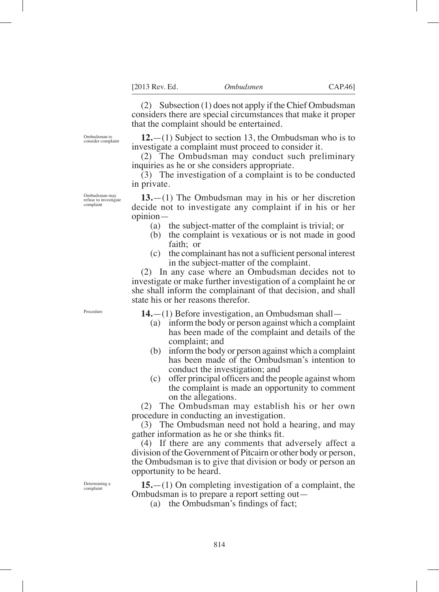(2) Subsection (1) does not apply if the Chief Ombudsman considers there are special circumstances that make it proper that the complaint should be entertained.

**12.**—(1) Subject to section 13, the Ombudsman who is to investigate a complaint must proceed to consider it.

(2) The Ombudsman may conduct such preliminary inquiries as he or she considers appropriate.

(3) The investigation of a complaint is to be conducted in private.

**13.**—(1) The Ombudsman may in his or her discretion decide not to investigate any complaint if in his or her opinion—

- (a) the subject-matter of the complaint is trivial; or
- (b) the complaint is vexatious or is not made in good faith; or
- $(c)$  the complainant has not a sufficient personal interest in the subject-matter of the complaint.

(2) In any case where an Ombudsman decides not to investigate or make further investigation of a complaint he or she shall inform the complainant of that decision, and shall state his or her reasons therefor.

Procedure

**14.**—(1) Before investigation, an Ombudsman shall—

- (a) inform the body or person against which a complaint has been made of the complaint and details of the complaint; and
- (b) inform the body or person against which a complaint has been made of the Ombudsman's intention to conduct the investigation; and
- $(c)$  offer principal officers and the people against whom the complaint is made an opportunity to comment on the allegations.

(2) The Ombudsman may establish his or her own procedure in conducting an investigation.

(3) The Ombudsman need not hold a hearing, and may gather information as he or she thinks fit.

(4) If there are any comments that adversely affect a division of the Government of Pitcairn or other body or person, the Ombudsman is to give that division or body or person an opportunity to be heard.

**15.**—(1) On completing investigation of a complaint, the Ombudsman is to prepare a report setting out—

(a) the Ombudsman's findings of fact;

Determining a complaint

Ombudsman may refuse to investigate complaint

Ombudsman to consider complaint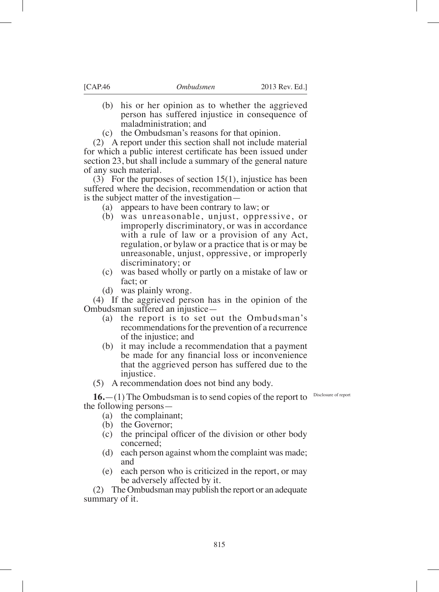- (b) his or her opinion as to whether the aggrieved person has suffered injustice in consequence of maladministration; and
- (c) the Ombudsman's reasons for that opinion.

(2) A report under this section shall not include material for which a public interest certificate has been issued under section 23, but shall include a summary of the general nature of any such material.

(3) For the purposes of section 15(1), injustice has been suffered where the decision, recommendation or action that is the subject matter of the investigation—

- (a) appears to have been contrary to law; or
- (b) was unreasonable, unjust, oppressive, or improperly discriminatory, or was in accordance with a rule of law or a provision of any Act, regulation, or bylaw or a practice that is or may be unreasonable, unjust, oppressive, or improperly discriminatory; or
- (c) was based wholly or partly on a mistake of law or fact; or
- (d) was plainly wrong.

(4) If the aggrieved person has in the opinion of the Ombudsman suffered an injustice—

- (a) the report is to set out the Ombudsman's recommendations for the prevention of a recurrence of the injustice; and
- (b) it may include a recommendation that a payment be made for any financial loss or inconvenience that the aggrieved person has suffered due to the injustice.
- (5) A recommendation does not bind any body.

**16.**—(1) The Ombudsman is to send copies of the report to the following persons—

- (a) the complainant;
- (b) the Governor;
- $(c)$  the principal officer of the division or other body concerned;
- (d) each person against whom the complaint was made; and
- (e) each person who is criticized in the report, or may be adversely affected by it.

(2) The Ombudsman may publish the report or an adequate summary of it.

Disclosure of report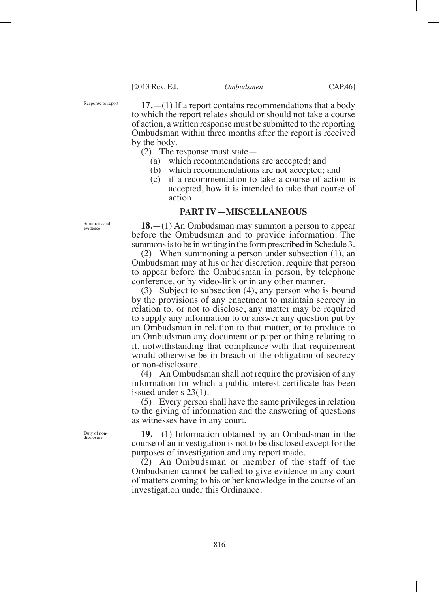Response to report

**17.**—(1) If a report contains recommendations that a body to which the report relates should or should not take a course of action, a written response must be submitted to the reporting Ombudsman within three months after the report is received by the body.

- (2) The response must state—
	- (a) which recommendations are accepted; and
	- (b) which recommendations are not accepted; and  $(c)$  if a recommendation to take a course of action
	- if a recommendation to take a course of action is accepted, how it is intended to take that course of action.

### **PART IV—MISCELLANEOUS**

**18.**—(1) An Ombudsman may summon a person to appear before the Ombudsman and to provide information. The summons is to be in writing in the form prescribed in Schedule 3.

(2) When summoning a person under subsection (1), an Ombudsman may at his or her discretion, require that person to appear before the Ombudsman in person, by telephone conference, or by video-link or in any other manner.

(3) Subject to subsection (4), any person who is bound by the provisions of any enactment to maintain secrecy in relation to, or not to disclose, any matter may be required to supply any information to or answer any question put by an Ombudsman in relation to that matter, or to produce to an Ombudsman any document or paper or thing relating to it, notwithstanding that compliance with that requirement would otherwise be in breach of the obligation of secrecy or non-disclosure.

(4) An Ombudsman shall not require the provision of any information for which a public interest certificate has been issued under s 23(1).

(5) Every person shall have the same privileges in relation to the giving of information and the answering of questions as witnesses have in any court.

**19.**—(1) Information obtained by an Ombudsman in the course of an investigation is not to be disclosed except for the purposes of investigation and any report made.

(2) An Ombudsman or member of the staff of the Ombudsmen cannot be called to give evidence in any court of matters coming to his or her knowledge in the course of an investigation under this Ordinance.

Summons and evidence

Duty of nondisclosure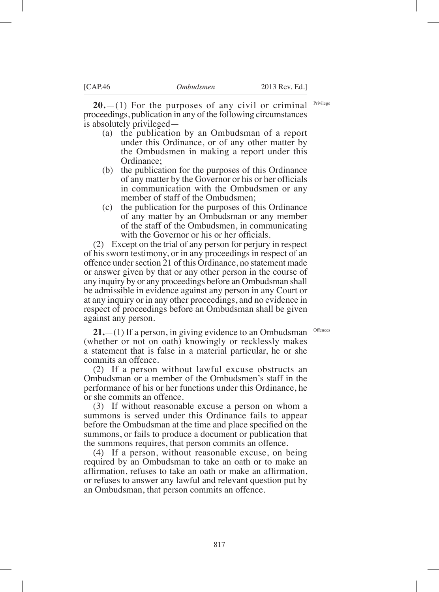Privilege

**20.**—(1) For the purposes of any civil or criminal proceedings, publication in any of the following circumstances is absolutely privileged—

- (a) the publication by an Ombudsman of a report under this Ordinance, or of any other matter by the Ombudsmen in making a report under this Ordinance;
- (b) the publication for the purposes of this Ordinance of any matter by the Governor or his or her officials in communication with the Ombudsmen or any member of staff of the Ombudsmen;
- (c) the publication for the purposes of this Ordinance of any matter by an Ombudsman or any member of the staff of the Ombudsmen, in communicating with the Governor or his or her officials.

(2) Except on the trial of any person for perjury in respect of his sworn testimony, or in any proceedings in respect of an offence under section 21 of this Ordinance, no statement made or answer given by that or any other person in the course of any inquiry by or any proceedings before an Ombudsman shall be admissible in evidence against any person in any Court or at any inquiry or in any other proceedings, and no evidence in respect of proceedings before an Ombudsman shall be given against any person.

**Offences** 

**21.**—(1) If a person, in giving evidence to an Ombudsman (whether or not on oath) knowingly or recklessly makes a statement that is false in a material particular, he or she commits an offence.

(2) If a person without lawful excuse obstructs an Ombudsman or a member of the Ombudsmen's staff in the performance of his or her functions under this Ordinance, he or she commits an offence.

(3) If without reasonable excuse a person on whom a summons is served under this Ordinance fails to appear before the Ombudsman at the time and place specified on the summons, or fails to produce a document or publication that the summons requires, that person commits an offence.

(4) If a person, without reasonable excuse, on being required by an Ombudsman to take an oath or to make an affirmation, refuses to take an oath or make an affirmation, or refuses to answer any lawful and relevant question put by an Ombudsman, that person commits an offence.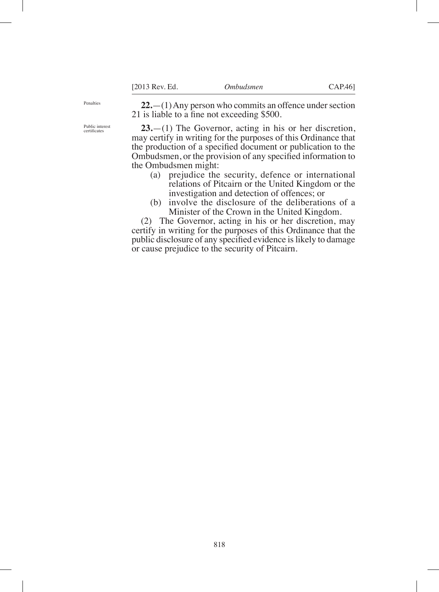Penalties

**22.**—(1) Any person who commits an offence under section 21 is liable to a fine not exceeding  $$500$ .

**23.**—(1) The Governor, acting in his or her discretion, may certify in writing for the purposes of this Ordinance that the production of a specified document or publication to the Ombudsmen, or the provision of any specified information to the Ombudsmen might:

- (a) prejudice the security, defence or international relations of Pitcairn or the United Kingdom or the investigation and detection of offences; or
- (b) involve the disclosure of the deliberations of a Minister of the Crown in the United Kingdom.

(2) The Governor, acting in his or her discretion, may certify in writing for the purposes of this Ordinance that the public disclosure of any specified evidence is likely to damage or cause prejudice to the security of Pitcairn.

Public interest certifcates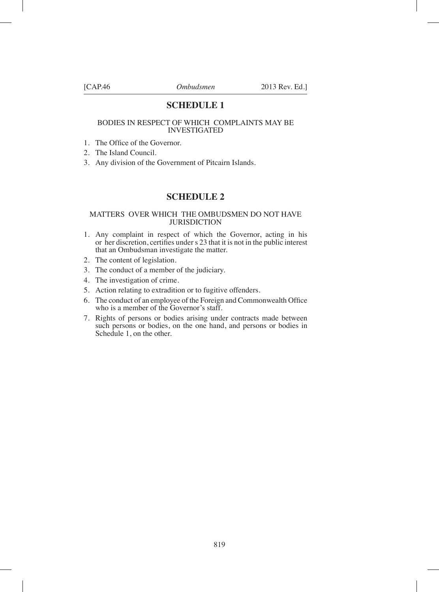### **SCHEDULE 1**

#### BODIES IN RESPECT OF WHICH COMPLAINTS MAY BE INVESTIGATED

- 1. The Office of the Governor.
- 2. The Island Council.
- 3. Any division of the Government of Pitcairn Islands.

### **SCHEDULE 2**

#### MATTERS OVER WHICH THE OMBUDSMEN DO NOT HAVE **JURISDICTION**

- 1. Any complaint in respect of which the Governor, acting in his or her discretion, certifies under s 23 that it is not in the public interest that an Ombudsman investigate the matter.
- 2. The content of legislation.
- 3. The conduct of a member of the judiciary.
- 4. The investigation of crime.
- 5. Action relating to extradition or to fugitive offenders.
- 6. The conduct of an employee of the Foreign and Commonwealth Office who is a member of the Governor's staff.
- 7. Rights of persons or bodies arising under contracts made between such persons or bodies, on the one hand, and persons or bodies in Schedule 1, on the other.